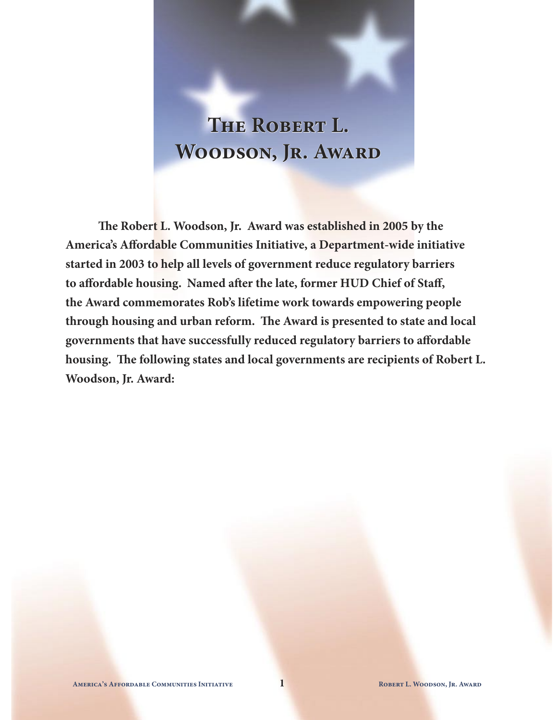# **The Robert L. Woodson, Jr. Award**

**The Robert L. Woodson, Jr. Award was established in 2005 by the America's Affordable Communities Initiative, a Department-wide initiative started in 2003 to help all levels of government reduce regulatory barriers to affordable housing. Named after the late, former HUD Chief of Staff, the Award commemorates Rob's lifetime work towards empowering people through housing and urban reform. The Award is presented to state and local governments that have successfully reduced regulatory barriers to affordable housing. The following states and local governments are recipients of Robert L. Woodson, Jr. Award:**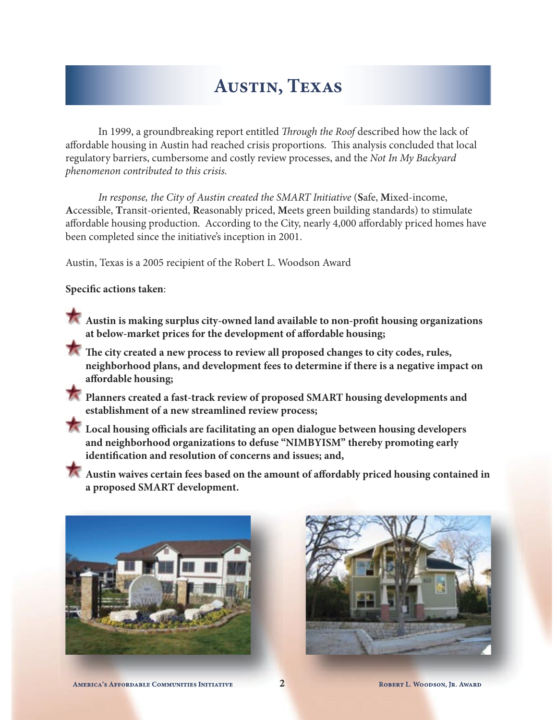### **Austin, Texas**

In 1999, a groundbreaking report entitled *Through the Roof* described how the lack of affordable housing in Austin had reached crisis proportions. This analysis concluded that local regulatory barriers, cumbersome and costly review processes, and the *Not In My Backyard phenomenon contributed to this crisis.* 

*In response, the City of Austin created the SMART Initiative* (**S**afe, **M**ixed-income, **A**ccessible, **T**ransit-oriented, **R**easonably priced, **M**eets green building standards) to stimulate affordable housing production. According to the City, nearly 4,000 affordably priced homes have been completed since the initiative's inception in 2001.

Austin, Texas is a 2005 recipient of the Robert L. Woodson Award

#### **Specific actions taken:**

**Austin is making surplus city-owned land available to non-profi t housing organizations**  at below-market prices for the development of affordable housing;

The city created a new process to review all proposed changes to city codes, rules, **neighborhood plans, and development fees to determine if there is a negative impact on aff ordable housing;**

**Planners created a fast-track review of proposed SMART housing developments and establishment of a new streamlined review process;**

Local housing officials are facilitating an open dialogue between housing developers **and neighborhood organizations to defuse "NIMBYISM" thereby promoting early**  identification and resolution of concerns and issues; and,

**Austin waives certain fees based on the amount of affordably priced housing contained in a proposed SMART development.**





 **AMERICA'S AFFORDABLE COMMUNITIES INITIATIVE 2 2** ROBERT L. WOODSON, JR. AWARD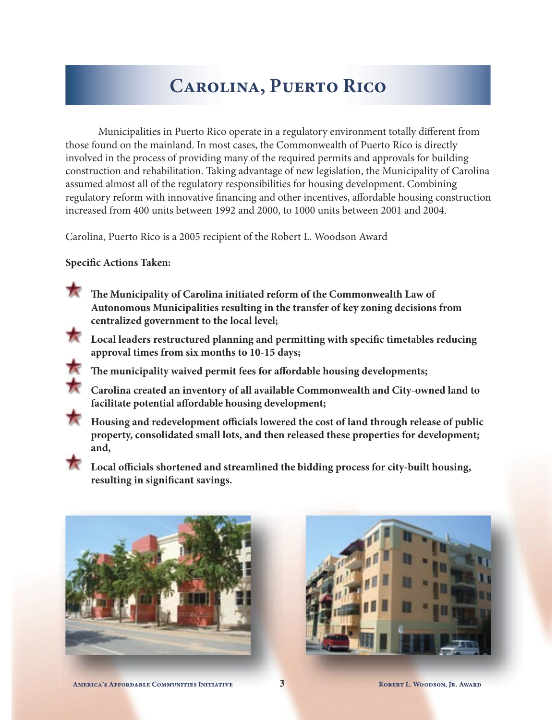## **Carolina, Puerto Rico**

Municipalities in Puerto Rico operate in a regulatory environment totally different from those found on the mainland. In most cases, the Commonwealth of Puerto Rico is directly involved in the process of providing many of the required permits and approvals for building construction and rehabilitation. Taking advantage of new legislation, the Municipality of Carolina assumed almost all of the regulatory responsibilities for housing development. Combining regulatory reform with innovative financing and other incentives, affordable housing construction increased from 400 units between 1992 and 2000, to 1000 units between 2001 and 2004.

Carolina, Puerto Rico is a 2005 recipient of the Robert L. Woodson Award

#### **Specific Actions Taken:**

- The Municipality of Carolina initiated reform of the Commonwealth Law of **Autonomous Municipalities resulting in the transfer of key zoning decisions from centralized government to the local level;**
- Local leaders restructured planning and permitting with specific timetables reducing **approval times from six months to 10-15 days;**
- The municipality waived permit fees for affordable housing developments;
- **Carolina created an inventory of all available Commonwealth and City-owned land to**  facilitate potential affordable housing development;
- 

Housing and redevelopment officials lowered the cost of land through release of public **property, consolidated small lots, and then released these properties for development; and,** 

Local officials shortened and streamlined the bidding process for city-built housing, resulting in significant savings.





 **AMERICA'S AFFORDABLE COMMUNITIES INITIATIVE 3** 8 **3** ROBERT L. WOODSON, JR. AWARD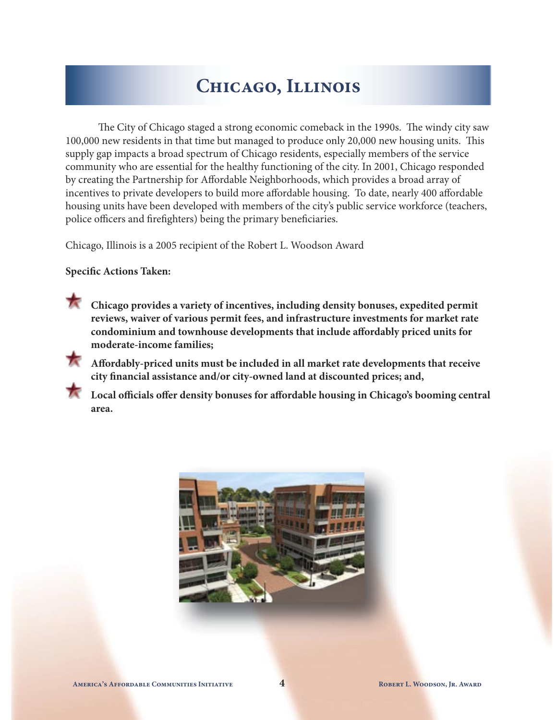## **Chicago, Illinois**

The City of Chicago staged a strong economic comeback in the 1990s. The windy city saw 100,000 new residents in that time but managed to produce only 20,000 new housing units. This supply gap impacts a broad spectrum of Chicago residents, especially members of the service community who are essential for the healthy functioning of the city. In 2001, Chicago responded by creating the Partnership for Affordable Neighborhoods, which provides a broad array of incentives to private developers to build more affordable housing. To date, nearly 400 affordable housing units have been developed with members of the city's public service workforce (teachers, police officers and firefighters) being the primary beneficiaries.

Chicago, Illinois is a 2005 recipient of the Robert L. Woodson Award

#### **Specific Actions Taken:**

- **Chicago provides a variety of incentives, including density bonuses, expedited permit reviews, waiver of various permit fees, and infrastructure investments for market rate**  condominium and townhouse developments that include affordably priced units for **moderate-income families;**
	- **Aff ordably-priced units must be included in all market rate developments that receive city fi nancial assistance and/or city-owned land at discounted prices; and,**

Local officials offer density bonuses for affordable housing in Chicago's booming central **area.**

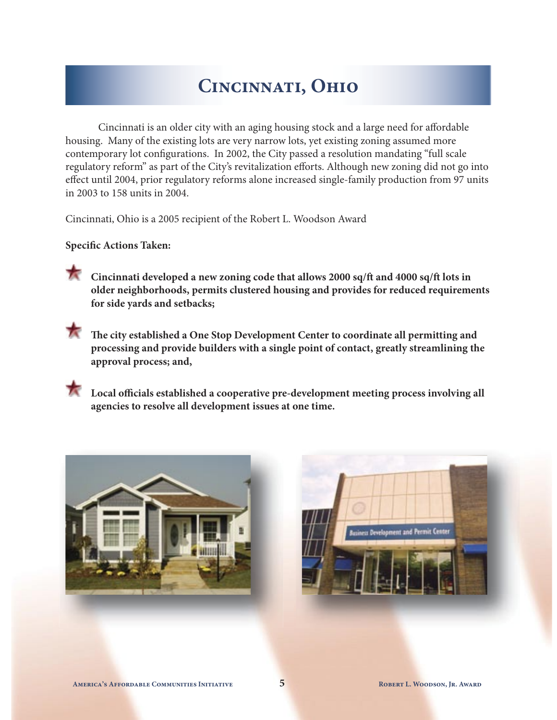## **Cincinnati, Ohio**

Cincinnati is an older city with an aging housing stock and a large need for affordable housing. Many of the existing lots are very narrow lots, yet existing zoning assumed more contemporary lot configurations. In 2002, the City passed a resolution mandating "full scale regulatory reform" as part of the City's revitalization efforts. Although new zoning did not go into effect until 2004, prior regulatory reforms alone increased single-family production from 97 units in 2003 to 158 units in 2004.

Cincinnati, Ohio is a 2005 recipient of the Robert L. Woodson Award

**Specific Actions Taken:** 



**Cincinnati developed a new zoning code that allows 2000 sq/ft and 4000 sq/ft lots in older neighborhoods, permits clustered housing and provides for reduced requirements for side yards and setbacks;** 

The city established a One Stop Development Center to coordinate all permitting and **processing and provide builders with a single point of contact, greatly streamlining the approval process; and,**

Local officials established a cooperative pre-development meeting process involving all **agencies to resolve all development issues at one time.**



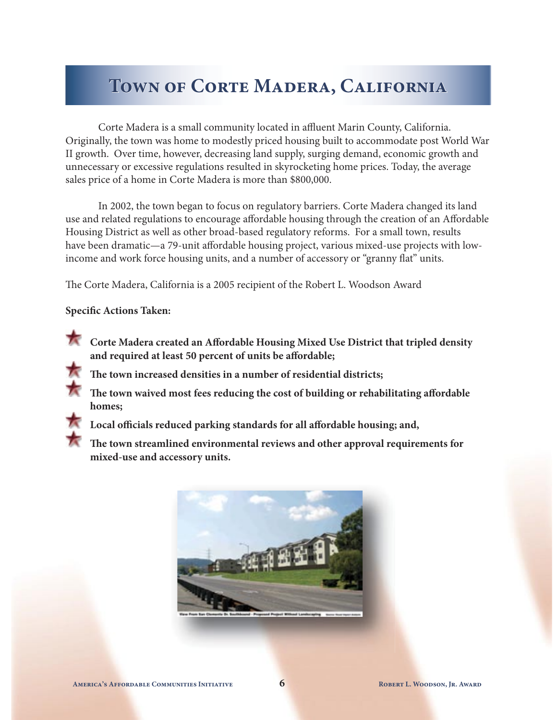### **Town of Corte Madera, California**

Corte Madera is a small community located in affluent Marin County, California. Originally, the town was home to modestly priced housing built to accommodate post World War II growth. Over time, however, decreasing land supply, surging demand, economic growth and unnecessary or excessive regulations resulted in skyrocketing home prices. Today, the average sales price of a home in Corte Madera is more than \$800,000.

In 2002, the town began to focus on regulatory barriers. Corte Madera changed its land use and related regulations to encourage affordable housing through the creation of an Affordable Housing District as well as other broad-based regulatory reforms. For a small town, results have been dramatic—a 79-unit affordable housing project, various mixed-use projects with lowincome and work force housing units, and a number of accessory or "granny flat" units.

The Corte Madera, California is a 2005 recipient of the Robert L. Woodson Award

#### **Specific Actions Taken:**

Corte Madera created an Affordable Housing Mixed Use District that tripled density and required at least 50 percent of units be affordable;



The town waived most fees reducing the cost of building or rehabilitating affordable **homes;** 

Local officials reduced parking standards for all affordable housing; and,

The town streamlined environmental reviews and other approval requirements for **mixed-use and accessory units.**

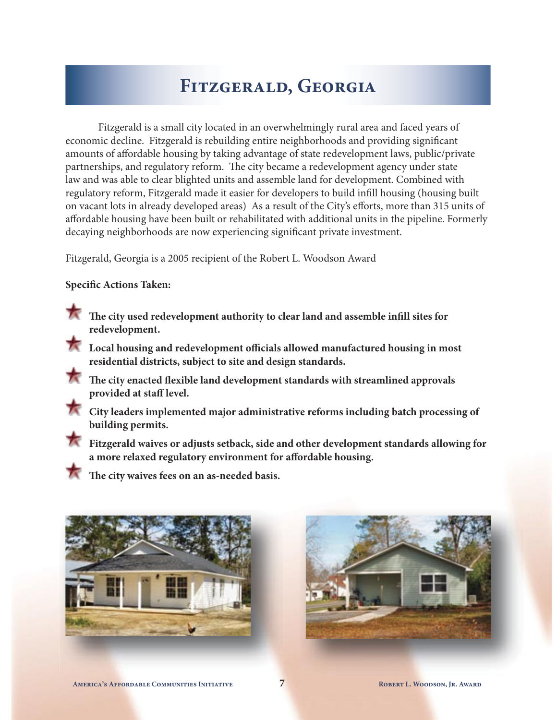### **Fitzgerald, Georgia**

Fitzgerald is a small city located in an overwhelmingly rural area and faced years of economic decline. Fitzgerald is rebuilding entire neighborhoods and providing significant amounts of affordable housing by taking advantage of state redevelopment laws, public/private partnerships, and regulatory reform. The city became a redevelopment agency under state law and was able to clear blighted units and assemble land for development. Combined with regulatory reform, Fitzgerald made it easier for developers to build infill housing (housing built on vacant lots in already developed areas) As a result of the City's efforts, more than 315 units of affordable housing have been built or rehabilitated with additional units in the pipeline. Formerly decaying neighborhoods are now experiencing significant private investment.

Fitzgerald, Georgia is a 2005 recipient of the Robert L. Woodson Award

#### **Specific Actions Taken:**



The city used redevelopment authority to clear land and assemble infill sites for **redevelopment.**

Local housing and redevelopment officials allowed manufactured housing in most **residential districts, subject to site and design standards.** 

The city enacted flexible land development standards with streamlined approvals **provided at staff level.**

**City leaders implemented major administrative reforms including batch processing of building permits.** 

**Fitzgerald waives or adjusts setback, side and other development standards allowing for**  a more relaxed regulatory environment for affordable housing.

The city waives fees on an as-needed basis.



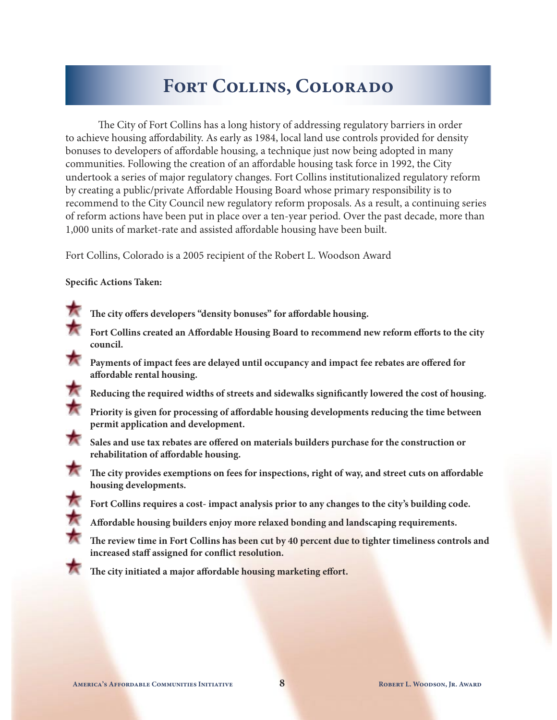## **FORT COLLINS, COLORADO**

The City of Fort Collins has a long history of addressing regulatory barriers in order to achieve housing affordability. As early as 1984, local land use controls provided for density bonuses to developers of affordable housing, a technique just now being adopted in many communities. Following the creation of an affordable housing task force in 1992, the City undertook a series of major regulatory changes. Fort Collins institutionalized regulatory reform by creating a public/private Affordable Housing Board whose primary responsibility is to recommend to the City Council new regulatory reform proposals. As a result, a continuing series of reform actions have been put in place over a ten-year period. Over the past decade, more than 1,000 units of market-rate and assisted affordable housing have been built.

Fort Collins, Colorado is a 2005 recipient of the Robert L. Woodson Award

#### **Specific Actions Taken:**



- **The city offers developers "density bonuses" for affordable housing.**
- **Fort Collins created an Affordable Housing Board to recommend new reform efforts to the city council.**
- **Payments of impact fees are delayed until occupancy and impact fee rebates are offered for affordable rental housing.**
- **Reducing the required widths of streets and sidewalks significantly lowered the cost of housing.**
- **Priority is given for processing of affordable housing developments reducing the time between permit application and development.**
- **Sales and use tax rebates are offered on materials builders purchase for the construction or rehabilitation of affordable housing.**
- **The city provides exemptions on fees for inspections, right of way, and street cuts on affordable housing developments.**
- **Fort Collins requires a cost- impact analysis prior to any changes to the city's building code.**
- **Affordable housing builders enjoy more relaxed bonding and landscaping requirements.**
- **The review time in Fort Collins has been cut by 40 percent due to tighter timeliness controls and increased staff assigned for conflict resolution.**
- **The city initiated a major affordable housing marketing effort.**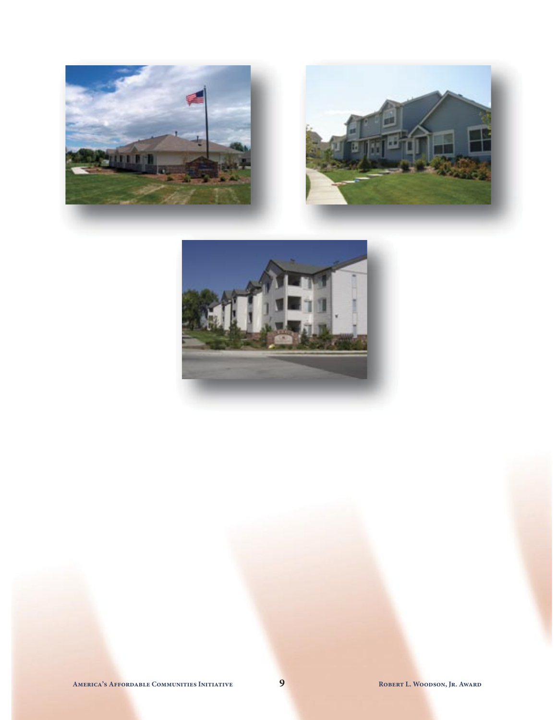



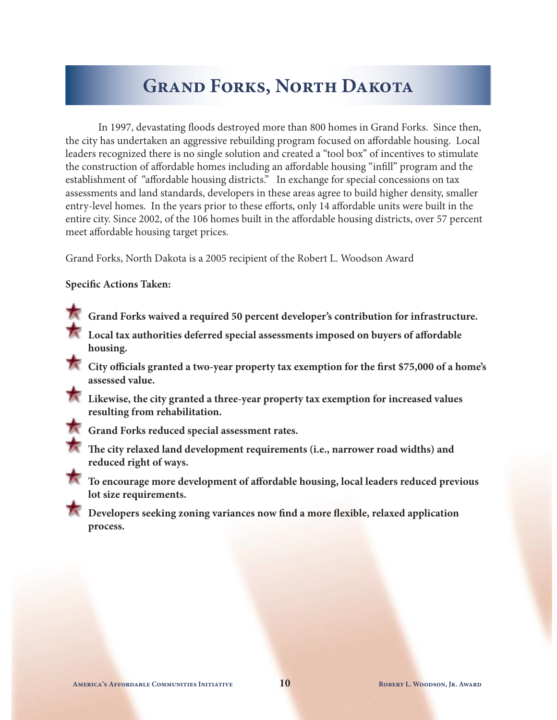### **Grand Forks, North Dakota**

In 1997, devastating floods destroyed more than 800 homes in Grand Forks. Since then, the city has undertaken an aggressive rebuilding program focused on affordable housing. Local leaders recognized there is no single solution and created a "tool box" of incentives to stimulate the construction of affordable homes including an affordable housing "infill" program and the establishment of "affordable housing districts." In exchange for special concessions on tax assessments and land standards, developers in these areas agree to build higher density, smaller entry-level homes. In the years prior to these efforts, only 14 affordable units were built in the entire city. Since 2002, of the 106 homes built in the affordable housing districts, over 57 percent meet affordable housing target prices.

Grand Forks, North Dakota is a 2005 recipient of the Robert L. Woodson Award

#### **Specific Actions Taken:**

**Grand Forks waived a required 50 percent developer's contribution for infrastructure.**

**Local tax authorities deferred special assessments imposed on buyers of affordable housing.**

**City officials granted a two-year property tax exemption for the first \$75,000 of a home's assessed value.**

**Likewise, the city granted a three-year property tax exemption for increased values resulting from rehabilitation.**

**Grand Forks reduced special assessment rates.**

**The city relaxed land development requirements (i.e., narrower road widths) and reduced right of ways.** 

**To encourage more development of affordable housing, local leaders reduced previous lot size requirements.**

**Developers seeking zoning variances now find a more flexible, relaxed application process.**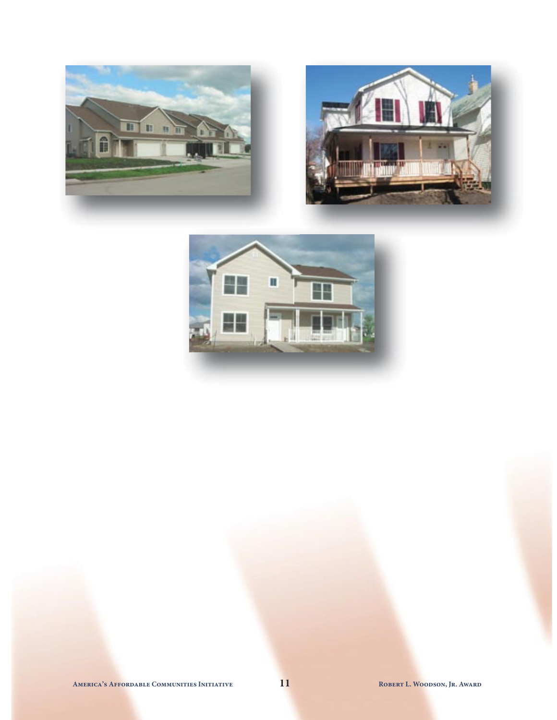



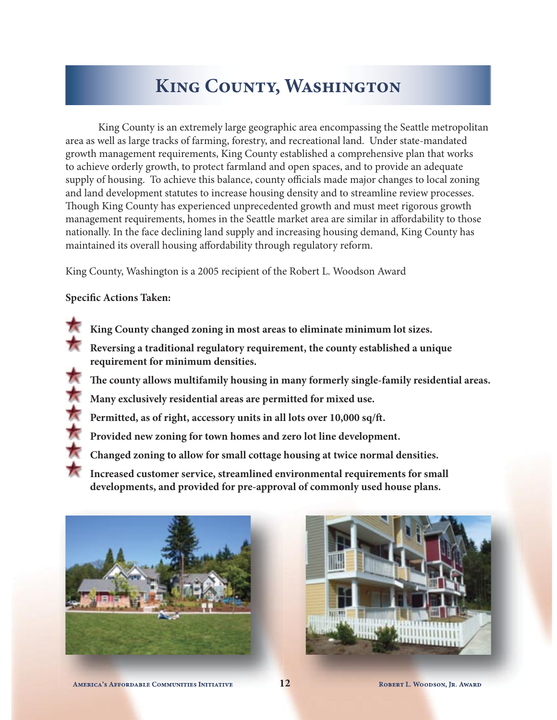### **King County, Washington**

King County is an extremely large geographic area encompassing the Seattle metropolitan area as well as large tracks of farming, forestry, and recreational land. Under state-mandated growth management requirements, King County established a comprehensive plan that works to achieve orderly growth, to protect farmland and open spaces, and to provide an adequate supply of housing. To achieve this balance, county officials made major changes to local zoning and land development statutes to increase housing density and to streamline review processes. Though King County has experienced unprecedented growth and must meet rigorous growth management requirements, homes in the Seattle market area are similar in affordability to those nationally. In the face declining land supply and increasing housing demand, King County has maintained its overall housing affordability through regulatory reform.

King County, Washington is a 2005 recipient of the Robert L. Woodson Award

#### **Specific Actions Taken:**

- **King County changed zoning in most areas to eliminate minimum lot sizes.**
- **Reversing a traditional regulatory requirement, the county established a unique requirement for minimum densities.**
- The county allows multifamily housing in many formerly single-family residential areas.
- **Many exclusively residential areas are permitted for mixed use.**
- Permitted, as of right, accessory units in all lots over 10,000 sq/ft.
- **Provided new zoning for town homes and zero lot line development.**
- **Changed zoning to allow for small cottage housing at twice normal densities.**
- **Increased customer service, streamlined environmental requirements for small developments, and provided for pre-approval of commonly used house plans.**





 **America's Affordable Communities Initiative 12 Robert L. Woodson, Jr. Award**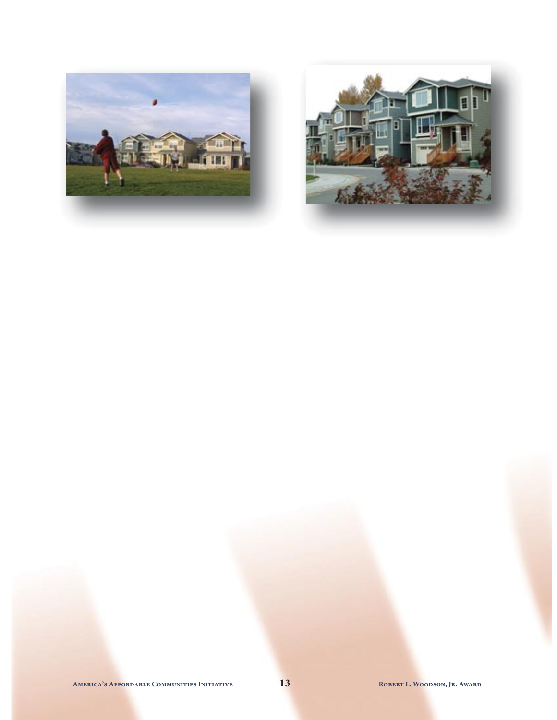

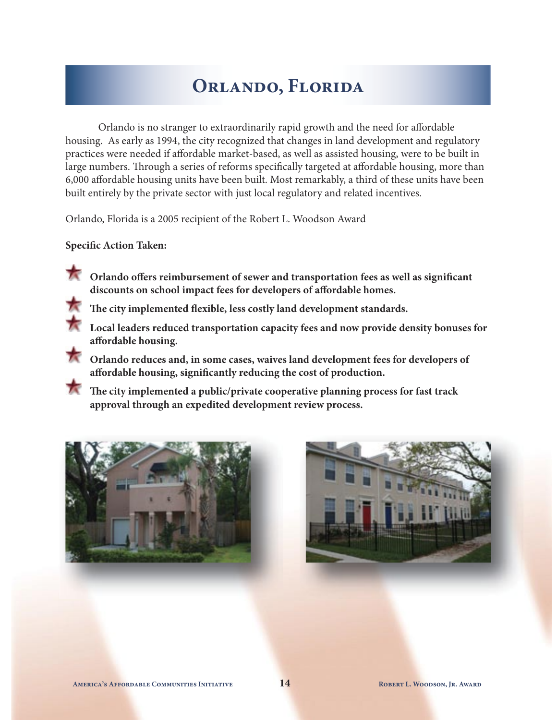### **Orlando, Florida**

Orlando is no stranger to extraordinarily rapid growth and the need for affordable housing. As early as 1994, the city recognized that changes in land development and regulatory practices were needed if affordable market-based, as well as assisted housing, were to be built in large numbers. Through a series of reforms specifically targeted at affordable housing, more than 6,000 affordable housing units have been built. Most remarkably, a third of these units have been built entirely by the private sector with just local regulatory and related incentives.

Orlando, Florida is a 2005 recipient of the Robert L. Woodson Award

#### **Specific Action Taken:**

- Orlando offers reimbursement of sewer and transportation fees as well as significant discounts on school impact fees for developers of affordable homes.
- The city implemented flexible, less costly land development standards.
- 
- **Local leaders reduced transportation capacity fees and now provide density bonuses for aff ordable housing.**
- **Orlando reduces and, in some cases, waives land development fees for developers of**  affordable housing, significantly reducing the cost of production.
- The city implemented a public/private cooperative planning process for fast track **approval through an expedited development review process.**



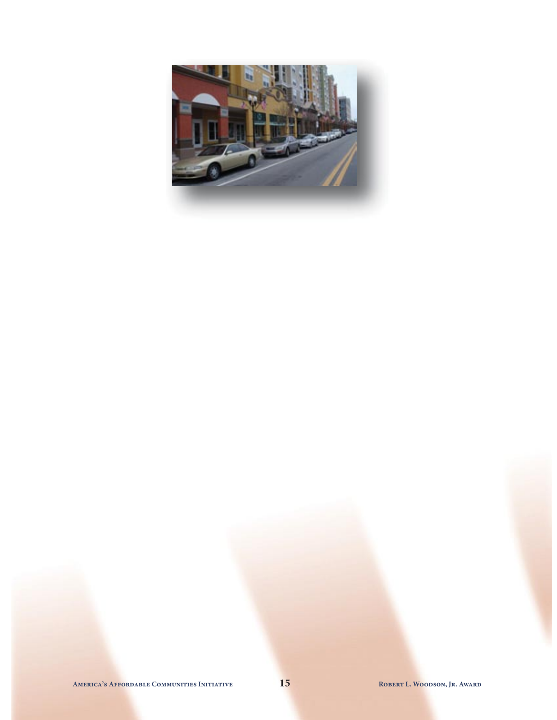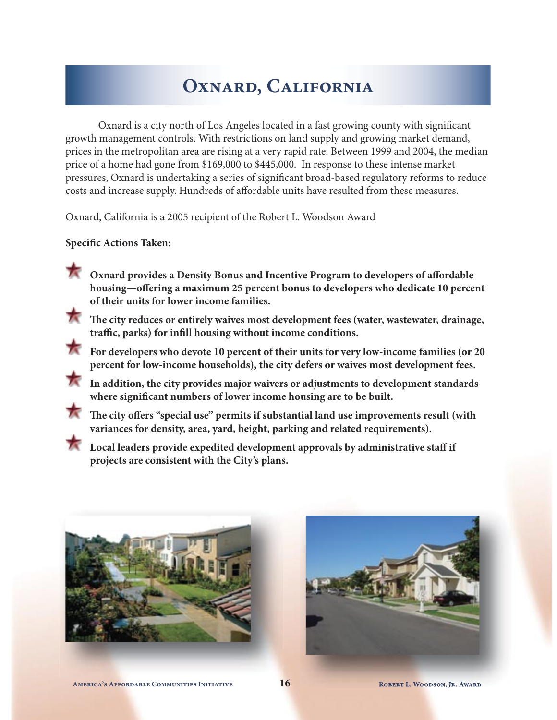## **Oxnard, California**

Oxnard is a city north of Los Angeles located in a fast growing county with significant growth management controls. With restrictions on land supply and growing market demand, prices in the metropolitan area are rising at a very rapid rate. Between 1999 and 2004, the median price of a home had gone from \$169,000 to \$445,000. In response to these intense market pressures, Oxnard is undertaking a series of significant broad-based regulatory reforms to reduce costs and increase supply. Hundreds of affordable units have resulted from these measures.

Oxnard, California is a 2005 recipient of the Robert L. Woodson Award

#### **Specific Actions Taken:**

- **Oxnard provides a Density Bonus and Incentive Program to developers of affordable** housing—offering a maximum 25 percent bonus to developers who dedicate 10 percent **of their units for lower income families.**
- The city reduces or entirely waives most development fees (water, wastewater, drainage, traffic, parks) for infill housing without income conditions.
- **For developers who devote 10 percent of their units for very low-income families (or 20 percent for low-income households), the city defers or waives most development fees.**
- **In addition, the city provides major waivers or adjustments to development standards**  where significant numbers of lower income housing are to be built.
- The city offers "special use" permits if substantial land use improvements result (with **variances for density, area, yard, height, parking and related requirements).**
- **Local leaders provide expedited development approvals by administrative staff if projects are consistent with the City's plans.**



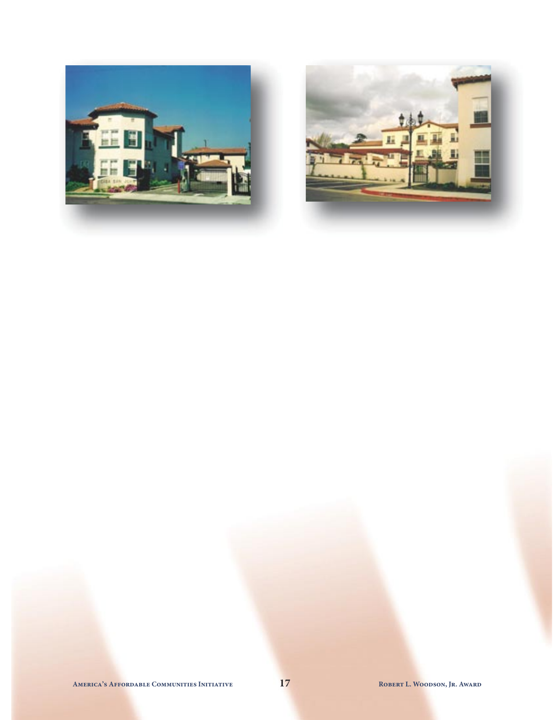

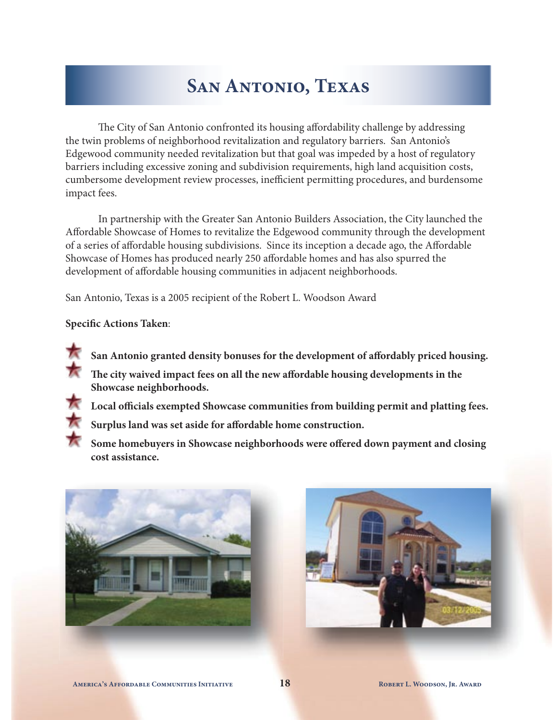# **San Antonio, Texas**

The City of San Antonio confronted its housing affordability challenge by addressing the twin problems of neighborhood revitalization and regulatory barriers. San Antonio's Edgewood community needed revitalization but that goal was impeded by a host of regulatory barriers including excessive zoning and subdivision requirements, high land acquisition costs, cumbersome development review processes, inefficient permitting procedures, and burdensome impact fees.

In partnership with the Greater San Antonio Builders Association, the City launched the Aff ordable Showcase of Homes to revitalize the Edgewood community through the development of a series of affordable housing subdivisions. Since its inception a decade ago, the Affordable Showcase of Homes has produced nearly 250 affordable homes and has also spurred the development of affordable housing communities in adjacent neighborhoods.

San Antonio, Texas is a 2005 recipient of the Robert L. Woodson Award

#### **Specific Actions Taken:**

- San Antonio granted density bonuses for the development of affordably priced housing.
- The city waived impact fees on all the new affordable housing developments in the **Showcase neighborhoods.**
- Local officials exempted Showcase communities from building permit and platting fees.
- Surplus land was set aside for affordable home construction.
- Some homebuyers in Showcase neighborhoods were offered down payment and closing **cost assistance.**



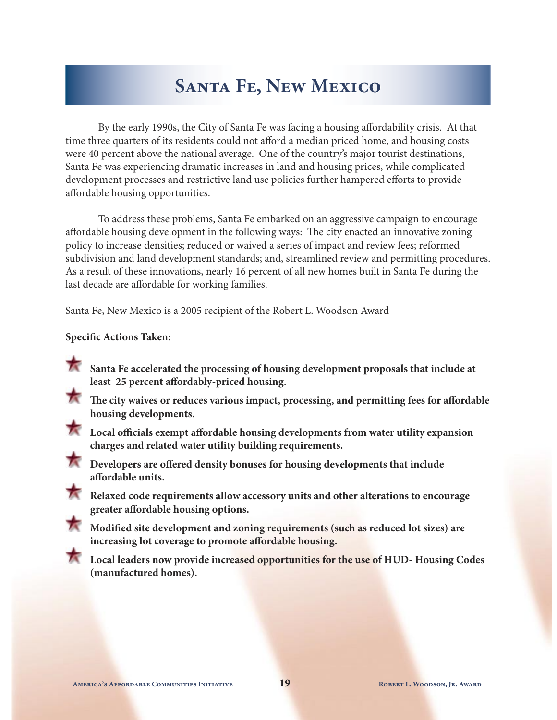## **Santa Fe, New Mexico**

By the early 1990s, the City of Santa Fe was facing a housing affordability crisis. At that time three quarters of its residents could not afford a median priced home, and housing costs were 40 percent above the national average. One of the country's major tourist destinations, Santa Fe was experiencing dramatic increases in land and housing prices, while complicated development processes and restrictive land use policies further hampered efforts to provide affordable housing opportunities.

To address these problems, Santa Fe embarked on an aggressive campaign to encourage affordable housing development in the following ways: The city enacted an innovative zoning policy to increase densities; reduced or waived a series of impact and review fees; reformed subdivision and land development standards; and, streamlined review and permitting procedures. As a result of these innovations, nearly 16 percent of all new homes built in Santa Fe during the last decade are affordable for working families.

Santa Fe, New Mexico is a 2005 recipient of the Robert L. Woodson Award

#### **Specific Actions Taken:**

- **Santa Fe accelerated the processing of housing development proposals that include at least 25 percent affordably-priced housing.**
	- **The city waives or reduces various impact, processing, and permitting fees for affordable housing developments.**
- 
- **Local officials exempt affordable housing developments from water utility expansion charges and related water utility building requirements.**
- **Developers are offered density bonuses for housing developments that include affordable units.**



 **Relaxed code requirements allow accessory units and other alterations to encourage greater affordable housing options.**

 **Modified site development and zoning requirements (such as reduced lot sizes) are increasing lot coverage to promote affordable housing.**

 **Local leaders now provide increased opportunities for the use of HUD- Housing Codes (manufactured homes).**

 **AMERICA'S AFFORDABLE COMMUNITIES INITIATIVE 19 19 ROBERT L. WOODSON, JR. AWARD**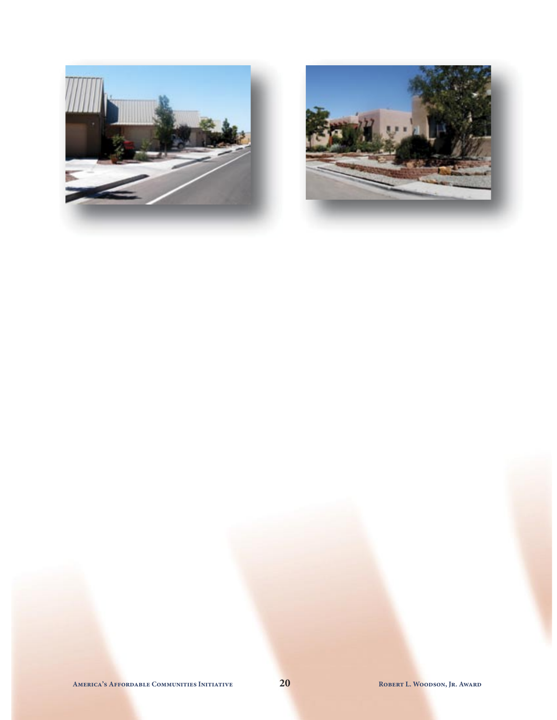

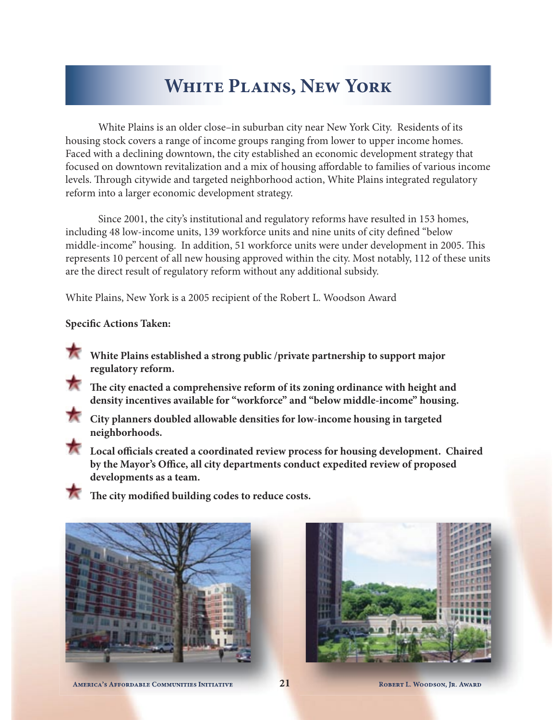## **White Plains, New York**

White Plains is an older close–in suburban city near New York City. Residents of its housing stock covers a range of income groups ranging from lower to upper income homes. Faced with a declining downtown, the city established an economic development strategy that focused on downtown revitalization and a mix of housing affordable to families of various income levels. Through citywide and targeted neighborhood action, White Plains integrated regulatory reform into a larger economic development strategy.

Since 2001, the city's institutional and regulatory reforms have resulted in 153 homes, including 48 low-income units, 139 workforce units and nine units of city defined "below" middle-income" housing. In addition, 51 workforce units were under development in 2005. This represents 10 percent of all new housing approved within the city. Most notably, 112 of these units are the direct result of regulatory reform without any additional subsidy.

White Plains, New York is a 2005 recipient of the Robert L. Woodson Award

#### **Specific Actions Taken:**

- **White Plains established a strong public /private partnership to support major regulatory reform.**
- The city enacted a comprehensive reform of its zoning ordinance with height and **density incentives available for "workforce" and "below middle-income" housing.** 
	- **City planners doubled allowable densities for low-income housing in targeted neighborhoods.**
- Local officials created a coordinated review process for housing development. Chaired by the Mayor's Office, all city departments conduct expedited review of proposed **developments as a team.**
- The city modified building codes to reduce costs.





 **AMERICA'S AFFORDABLE COMMUNITIES INITIATIVE 21 21 ROBERT L. WOODSON, JR. AWARD**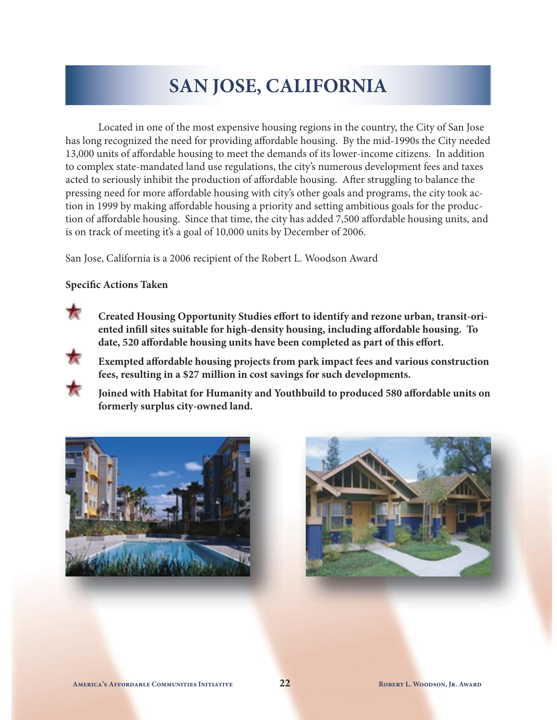# **SAN JOSE, CALIFORNIA**

 Located in one of the most expensive housing regions in the country, the City of San Jose has long recognized the need for providing affordable housing. By the mid-1990s the City needed 13,000 units of affordable housing to meet the demands of its lower-income citizens. In addition to complex state-mandated land use regulations, the city's numerous development fees and taxes acted to seriously inhibit the production of affordable housing. After struggling to balance the pressing need for more affordable housing with city's other goals and programs, the city took action in 1999 by making affordable housing a priority and setting ambitious goals for the production of affordable housing. Since that time, the city has added 7,500 affordable housing units, and is on track of meeting it's a goal of 10,000 units by December of 2006.

San Jose, California is a 2006 recipient of the Robert L. Woodson Award

#### **Specific Actions Taken**



Created Housing Opportunity Studies effort to identify and rezone urban, transit-oriented infill sites suitable for high-density housing, including affordable housing. To date, 520 affordable housing units have been completed as part of this effort.



Joined with Habitat for Humanity and Youthbuild to produced 580 affordable units on **formerly surplus city-owned land.**



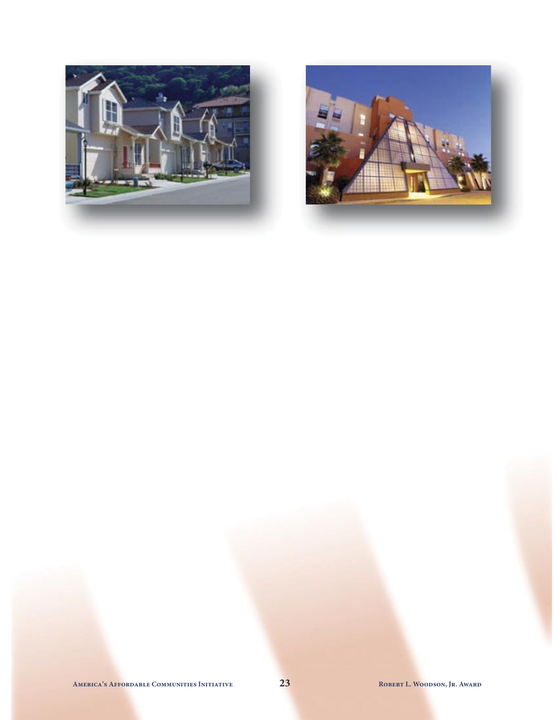

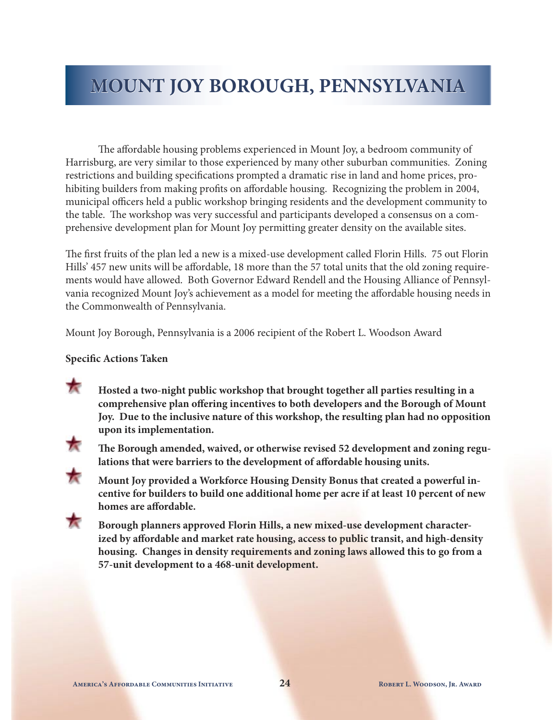# **MOUNT JOY BOROUGH, PENNSYLVANIA**

The affordable housing problems experienced in Mount Joy, a bedroom community of Harrisburg, are very similar to those experienced by many other suburban communities. Zoning restrictions and building specifications prompted a dramatic rise in land and home prices, prohibiting builders from making profits on affordable housing. Recognizing the problem in 2004, municipal officers held a public workshop bringing residents and the development community to the table. The workshop was very successful and participants developed a consensus on a comprehensive development plan for Mount Joy permitting greater density on the available sites.

The first fruits of the plan led a new is a mixed-use development called Florin Hills. 75 out Florin Hills' 457 new units will be affordable, 18 more than the 57 total units that the old zoning requirements would have allowed. Both Governor Edward Rendell and the Housing Alliance of Pennsylvania recognized Mount Joy's achievement as a model for meeting the affordable housing needs in the Commonwealth of Pennsylvania.

Mount Joy Borough, Pennsylvania is a 2006 recipient of the Robert L. Woodson Award

#### **Specific Actions Taken**





**The Borough amended, waived, or otherwise revised 52 development and zoning regulations that were barriers to the development of affordable housing units.** 



 **Mount Joy provided a Workforce Housing Density Bonus that created a powerful incentive for builders to build one additional home per acre if at least 10 percent of new homes are affordable.**



 **Borough planners approved Florin Hills, a new mixed-use development characterized by affordable and market rate housing, access to public transit, and high-density housing. Changes in density requirements and zoning laws allowed this to go from a 57-unit development to a 468-unit development.**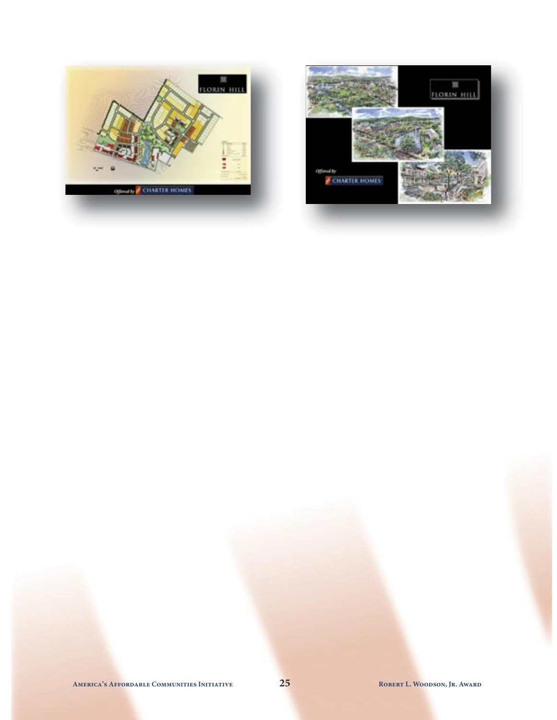

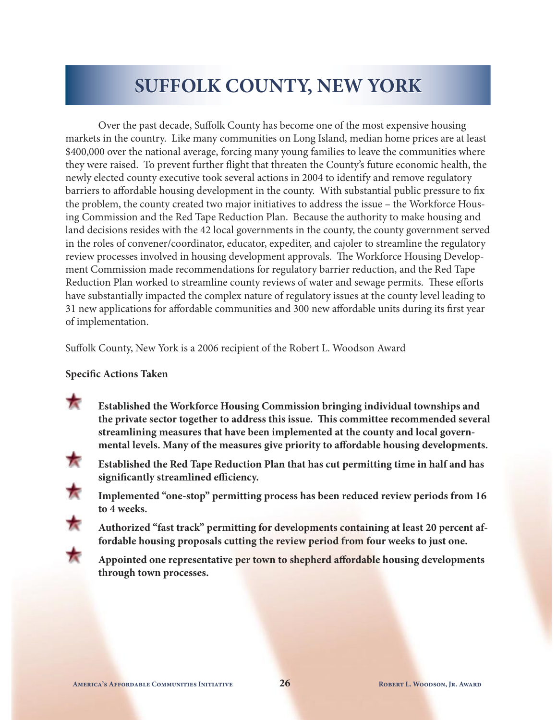# **SUFFOLK COUNTY, NEW YORK**

 Over the past decade, Suffolk County has become one of the most expensive housing markets in the country. Like many communities on Long Island, median home prices are at least \$400,000 over the national average, forcing many young families to leave the communities where they were raised. To prevent further flight that threaten the County's future economic health, the newly elected county executive took several actions in 2004 to identify and remove regulatory barriers to affordable housing development in the county. With substantial public pressure to fix the problem, the county created two major initiatives to address the issue – the Workforce Housing Commission and the Red Tape Reduction Plan. Because the authority to make housing and land decisions resides with the 42 local governments in the county, the county government served in the roles of convener/coordinator, educator, expediter, and cajoler to streamline the regulatory review processes involved in housing development approvals. The Workforce Housing Development Commission made recommendations for regulatory barrier reduction, and the Red Tape Reduction Plan worked to streamline county reviews of water and sewage permits. These efforts have substantially impacted the complex nature of regulatory issues at the county level leading to 31 new applications for affordable communities and 300 new affordable units during its first year of implementation.

Suffolk County, New York is a 2006 recipient of the Robert L. Woodson Award

#### **Specific Actions Taken**

**Established the Workforce Housing Commission bringing individual townships and the private sector together to address this issue. This committee recommended several streamlining measures that have been implemented at the county and local governmental levels. Many of the measures give priority to affordable housing developments.**



**Established the Red Tape Reduction Plan that has cut permitting time in half and has significantly streamlined efficiency.** 



 **Implemented "one-stop" permitting process has been reduced review periods from 16 to 4 weeks.** 

 **Authorized "fast track" permitting for developments containing at least 20 percent affordable housing proposals cutting the review period from four weeks to just one.**

 **Appointed one representative per town to shepherd affordable housing developments through town processes.**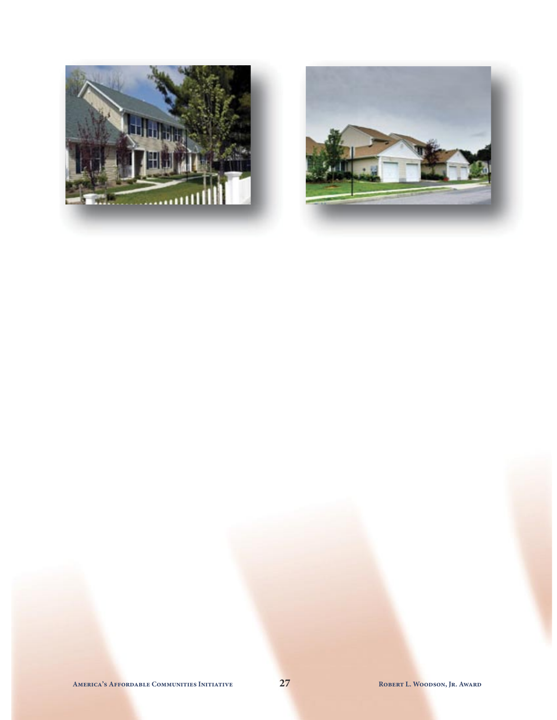

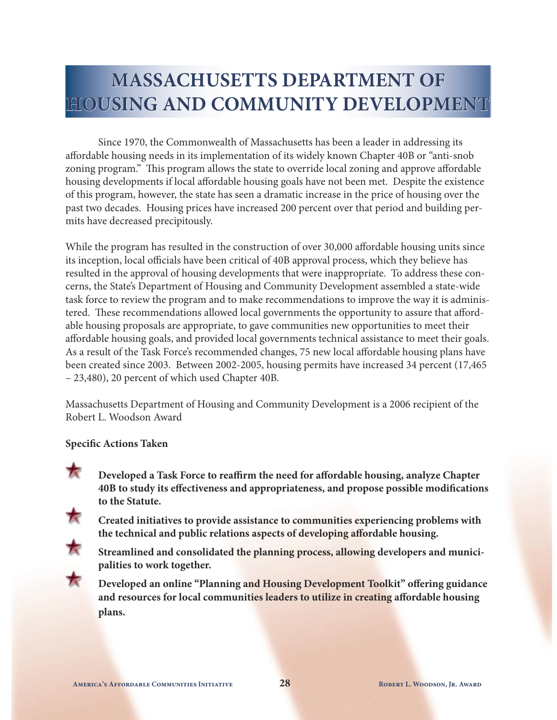# **MASSACHUSETTS DEPARTMENT OF HOUSING AND COMMUNITY DEVELOPMENT**

 Since 1970, the Commonwealth of Massachusetts has been a leader in addressing its affordable housing needs in its implementation of its widely known Chapter 40B or "anti-snob zoning program." This program allows the state to override local zoning and approve affordable housing developments if local affordable housing goals have not been met. Despite the existence of this program, however, the state has seen a dramatic increase in the price of housing over the past two decades. Housing prices have increased 200 percent over that period and building permits have decreased precipitously.

While the program has resulted in the construction of over 30,000 affordable housing units since its inception, local officials have been critical of 40B approval process, which they believe has resulted in the approval of housing developments that were inappropriate. To address these concerns, the State's Department of Housing and Community Development assembled a state-wide task force to review the program and to make recommendations to improve the way it is administered. These recommendations allowed local governments the opportunity to assure that affordable housing proposals are appropriate, to gave communities new opportunities to meet their affordable housing goals, and provided local governments technical assistance to meet their goals. As a result of the Task Force's recommended changes, 75 new local affordable housing plans have been created since 2003. Between 2002-2005, housing permits have increased 34 percent (17,465 – 23,480), 20 percent of which used Chapter 40B.

Massachusetts Department of Housing and Community Development is a 2006 recipient of the Robert L. Woodson Award

#### **Specific Actions Taken**

 **Developed a Task Force to reaffirm the need for affordable housing, analyze Chapter 40B to study its effectiveness and appropriateness, and propose possible modifications to the Statute.**

 **Created initiatives to provide assistance to communities experiencing problems with the technical and public relations aspects of developing affordable housing.**

w

 **Streamlined and consolidated the planning process, allowing developers and municipalities to work together.**



 **Developed an online "Planning and Housing Development Toolkit" offering guidance and resources for local communities leaders to utilize in creating affordable housing plans.**